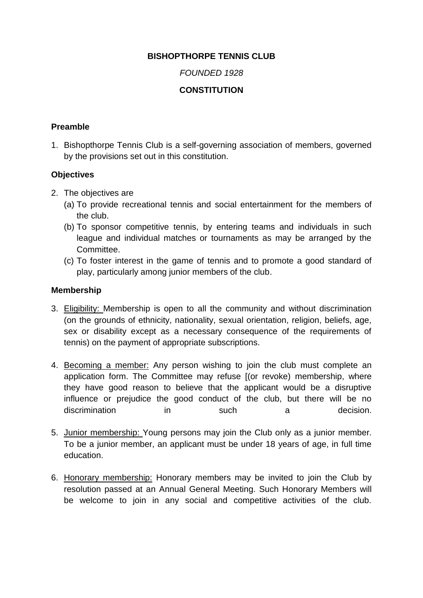## **BISHOPTHORPE TENNIS CLUB**

### *FOUNDED 1928*

# **CONSTITUTION**

#### **Preamble**

1. Bishopthorpe Tennis Club is a self-governing association of members, governed by the provisions set out in this constitution.

#### **Objectives**

- 2. The objectives are
	- (a) To provide recreational tennis and social entertainment for the members of the club.
	- (b) To sponsor competitive tennis, by entering teams and individuals in such league and individual matches or tournaments as may be arranged by the Committee.
	- (c) To foster interest in the game of tennis and to promote a good standard of play, particularly among junior members of the club.

### **Membership**

- 3. Eligibility: Membership is open to all the community and without discrimination (on the grounds of ethnicity, nationality, sexual orientation, religion, beliefs, age, sex or disability except as a necessary consequence of the requirements of tennis) on the payment of appropriate subscriptions.
- 4. Becoming a member: Any person wishing to join the club must complete an application form. The Committee may refuse [(or revoke) membership, where they have good reason to believe that the applicant would be a disruptive influence or prejudice the good conduct of the club, but there will be no discrimination in such a decision.
- 5. Junior membership: Young persons may join the Club only as a junior member. To be a junior member, an applicant must be under 18 years of age, in full time education.
- 6. Honorary membership: Honorary members may be invited to join the Club by resolution passed at an Annual General Meeting. Such Honorary Members will be welcome to join in any social and competitive activities of the club.